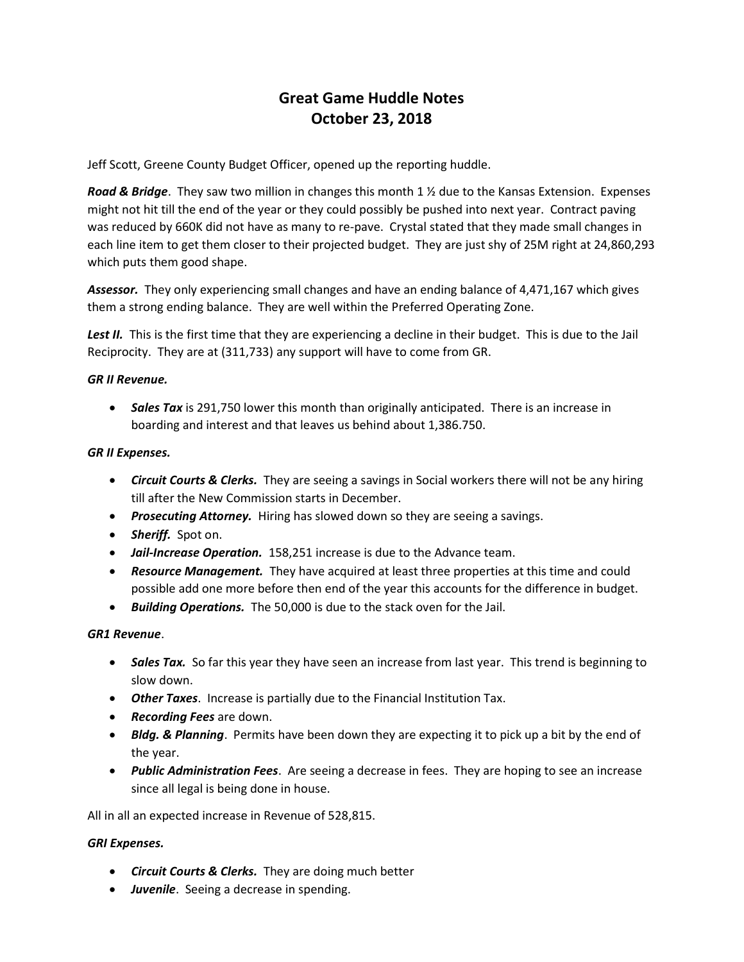# Great Game Huddle Notes October 23, 2018

Jeff Scott, Greene County Budget Officer, opened up the reporting huddle.

**Road & Bridge.** They saw two million in changes this month 1  $\frac{1}{2}$  due to the Kansas Extension. Expenses might not hit till the end of the year or they could possibly be pushed into next year. Contract paving was reduced by 660K did not have as many to re-pave. Crystal stated that they made small changes in each line item to get them closer to their projected budget. They are just shy of 25M right at 24,860,293 which puts them good shape.

Assessor. They only experiencing small changes and have an ending balance of 4,471,167 which gives them a strong ending balance. They are well within the Preferred Operating Zone.

Lest II. This is the first time that they are experiencing a decline in their budget. This is due to the Jail Reciprocity. They are at (311,733) any support will have to come from GR.

## GR II Revenue.

• Sales Tax is 291,750 lower this month than originally anticipated. There is an increase in boarding and interest and that leaves us behind about 1,386.750.

## GR II Expenses.

- Circuit Courts & Clerks. They are seeing a savings in Social workers there will not be any hiring till after the New Commission starts in December.
- Prosecuting Attorney. Hiring has slowed down so they are seeing a savings.
- Sheriff. Spot on.
- Jail-Increase Operation. 158,251 increase is due to the Advance team.
- Resource Management. They have acquired at least three properties at this time and could possible add one more before then end of the year this accounts for the difference in budget.
- Building Operations. The 50,000 is due to the stack oven for the Jail.

## GR1 Revenue.

- Sales Tax. So far this year they have seen an increase from last year. This trend is beginning to slow down.
- Other Taxes. Increase is partially due to the Financial Institution Tax.
- Recording Fees are down.
- Bldg. & Planning. Permits have been down they are expecting it to pick up a bit by the end of the year.
- Public Administration Fees. Are seeing a decrease in fees. They are hoping to see an increase since all legal is being done in house.

All in all an expected increase in Revenue of 528,815.

## GRI Expenses.

- Circuit Courts & Clerks. They are doing much better
- Juvenile. Seeing a decrease in spending.